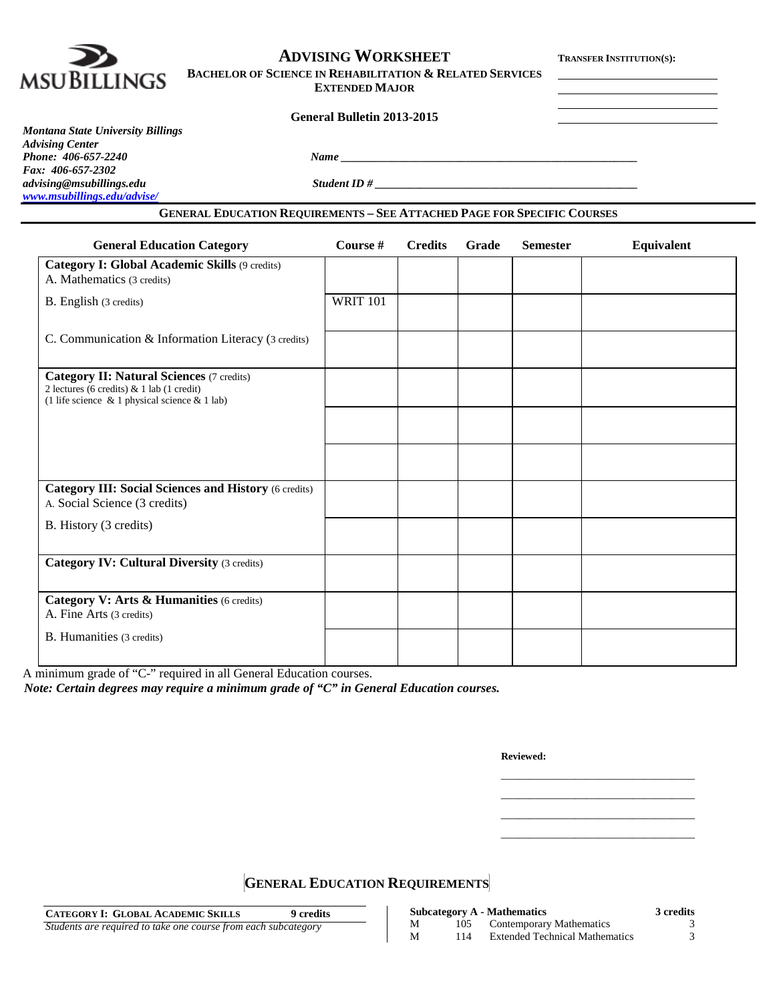

# **ADVISING WORKSHEET TRANSFER INSTITUTION(S):**

**BACHELOR OF SCIENCE IN REHABILITATION & RELATED SERVICES**

**EXTENDED MAJOR**

**General Bulletin 2013-2015**

### *Montana State University Billings Advising Center Phone: 406-657-2240 Name \_\_\_\_\_\_\_\_\_\_\_\_\_\_\_\_\_\_\_\_\_\_\_\_\_\_\_\_\_\_\_\_\_\_\_\_\_\_\_\_\_\_\_\_\_\_\_\_\_\_\_\_ Fax: 406-657-2302 [www.msubillings.edu/advise/](http://www.msubillings.edu/advise/)*

*advising@msubillings.edu Student ID # \_\_\_\_\_\_\_\_\_\_\_\_\_\_\_\_\_\_\_\_\_\_\_\_\_\_\_\_\_\_\_\_\_\_\_\_\_\_\_\_\_\_\_\_\_\_*

## **GENERAL EDUCATION REQUIREMENTS – SEE ATTACHED PAGE FOR SPECIFIC COURSES**

| <b>General Education Category</b>                                                                                                                    | Course #        | <b>Credits</b> | <b>Grade</b> | <b>Semester</b> | Equivalent |
|------------------------------------------------------------------------------------------------------------------------------------------------------|-----------------|----------------|--------------|-----------------|------------|
| Category I: Global Academic Skills (9 credits)<br>A. Mathematics (3 credits)                                                                         |                 |                |              |                 |            |
| B. English (3 credits)                                                                                                                               | <b>WRIT 101</b> |                |              |                 |            |
| C. Communication & Information Literacy (3 credits)                                                                                                  |                 |                |              |                 |            |
| <b>Category II: Natural Sciences (7 credits)</b><br>2 lectures (6 credits) & 1 lab (1 credit)<br>(1 life science $\&$ 1 physical science $\&$ 1 lab) |                 |                |              |                 |            |
|                                                                                                                                                      |                 |                |              |                 |            |
|                                                                                                                                                      |                 |                |              |                 |            |
| <b>Category III: Social Sciences and History (6 credits)</b><br>A. Social Science (3 credits)                                                        |                 |                |              |                 |            |
| B. History (3 credits)                                                                                                                               |                 |                |              |                 |            |
| <b>Category IV: Cultural Diversity (3 credits)</b>                                                                                                   |                 |                |              |                 |            |
| Category V: Arts & Humanities (6 credits)<br>A. Fine Arts (3 credits)                                                                                |                 |                |              |                 |            |
| B. Humanities (3 credits)                                                                                                                            |                 |                |              |                 |            |

A minimum grade of "C-" required in all General Education courses.

*Note: Certain degrees may require a minimum grade of "C" in General Education courses.*

**Reviewed:**

\_\_\_\_\_\_\_\_\_\_\_\_\_\_\_\_\_\_\_\_\_\_\_\_\_\_\_\_\_\_\_\_\_\_ \_\_\_\_\_\_\_\_\_\_\_\_\_\_\_\_\_\_\_\_\_\_\_\_\_\_\_\_\_\_\_\_\_\_ \_\_\_\_\_\_\_\_\_\_\_\_\_\_\_\_\_\_\_\_\_\_\_\_\_\_\_\_\_\_\_\_\_\_ \_\_\_\_\_\_\_\_\_\_\_\_\_\_\_\_\_\_\_\_\_\_\_\_\_\_\_\_\_\_\_\_\_\_

**GENERAL EDUCATION REQUIREMENTS**

| <b>CATEGORY I: GLOBAL ACADEMIC SKILLS</b>                      | 9 credits |
|----------------------------------------------------------------|-----------|
| Students are required to take one course from each subcategory |           |

|   |     | <b>Subcategory A - Mathematics</b>    | 3 credits |
|---|-----|---------------------------------------|-----------|
| М | 105 | Contemporary Mathematics              |           |
| М | 114 | <b>Extended Technical Mathematics</b> |           |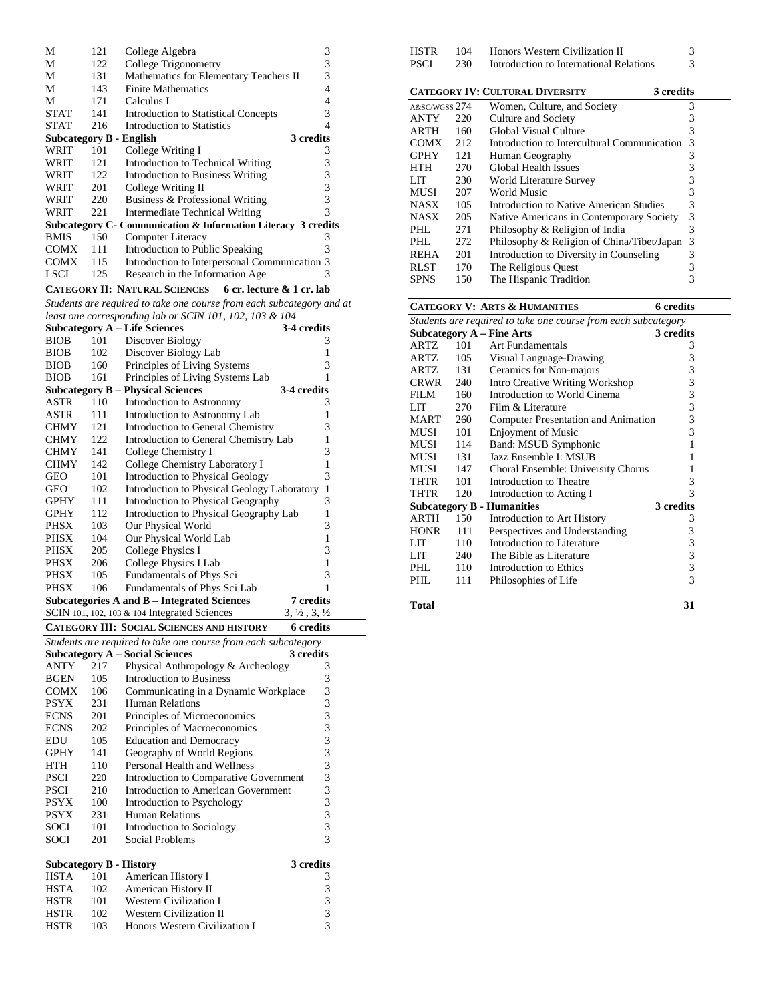| М           | 121 | College Algebra                                               | 3         |
|-------------|-----|---------------------------------------------------------------|-----------|
| М           | 122 | College Trigonometry                                          | 3         |
| М           | 131 | Mathematics for Elementary Teachers II                        | 3         |
| М           | 143 | <b>Finite Mathematics</b>                                     |           |
| М           | 171 | Calculus I                                                    | 4         |
| <b>STAT</b> | 141 | Introduction to Statistical Concepts                          | 3         |
| <b>STAT</b> | 216 | Introduction to Statistics                                    | 4         |
|             |     | <b>Subcategory B - English</b>                                | 3 credits |
| WRIT        | 101 | College Writing I                                             | 3         |
| WRIT        | 121 | Introduction to Technical Writing                             | 3         |
| WRIT        | 122 | Introduction to Business Writing                              | 3         |
| WRIT        | 201 | College Writing II                                            | 3         |
| WRIT        | 220 | Business & Professional Writing                               | 3         |
| WRIT        | 221 | Intermediate Technical Writing                                | 3         |
|             |     | Subcategory C- Communication & Information Literacy 3 credits |           |
| <b>BMIS</b> | 150 | Computer Literacy                                             | 3         |
| <b>COMX</b> | 111 | Introduction to Public Speaking                               | 3         |
| <b>COMX</b> | 115 | Introduction to Interpersonal Communication 3                 |           |
| LSCI        | 125 | Research in the Information Age                               | 3         |
|             |     |                                                               |           |

**CATEGORY II: NATURAL SCIENCES 6 cr. lecture & 1 cr. lab**

*Students are required to take one course from each subcategory and at least one corresponding lab or SCIN 101, 102, 103 & 104*

|             |     | <b>Subcategory A – Life Sciences</b>             | 3-4 credits                      |
|-------------|-----|--------------------------------------------------|----------------------------------|
| <b>BIOB</b> | 101 | Discover Biology                                 | 3                                |
| <b>BIOB</b> | 102 | Discover Biology Lab                             | 1                                |
| <b>BIOB</b> | 160 | Principles of Living Systems                     | 3                                |
| <b>BIOB</b> | 161 | Principles of Living Systems Lab                 | 1                                |
|             |     | <b>Subcategory B – Physical Sciences</b>         | 3-4 credits                      |
| ASTR        | 110 | Introduction to Astronomy                        | 3                                |
| ASTR        | 111 | Introduction to Astronomy Lab                    | 1                                |
| <b>CHMY</b> | 121 | Introduction to General Chemistry                | 3                                |
| <b>CHMY</b> | 122 | Introduction to General Chemistry Lab            | 1                                |
| <b>CHMY</b> | 141 | College Chemistry I                              | 3                                |
| <b>CHMY</b> | 142 | College Chemistry Laboratory I                   | 1                                |
| GEO         | 101 | <b>Introduction to Physical Geology</b>          | 3                                |
| GEO         | 102 | Introduction to Physical Geology Laboratory      | 1                                |
| <b>GPHY</b> | 111 | Introduction to Physical Geography               | 3                                |
| <b>GPHY</b> | 112 | Introduction to Physical Geography Lab           | 1                                |
| <b>PHSX</b> | 103 | Our Physical World                               | 3                                |
| <b>PHSX</b> | 104 | Our Physical World Lab                           | 1                                |
| <b>PHSX</b> | 205 | <b>College Physics I</b>                         | 3                                |
| PHSX        | 206 | College Physics I Lab                            | 1                                |
| <b>PHSX</b> | 105 | Fundamentals of Phys Sci                         | 3                                |
| <b>PHSX</b> | 106 | Fundamentals of Phys Sci Lab                     | 1                                |
|             |     | Subcategories A and B – Integrated Sciences      | 7 credits                        |
|             |     | SCIN 101, 102, 103 & 104 Integrated Sciences     | $3, \frac{1}{2}, 3, \frac{1}{2}$ |
|             |     | <b>CATEGORY III: SOCIAL SCIENCES AND HISTORY</b> | <b>6</b> credits                 |

*Students are required to take one course from each subcategory* **Subcategory A – Social Sciences 3 credits** ANTY 217 Physical Anthropology & Archeology 3<br>BGEN 105 Introduction to Business 3 105 Introduction to Business COMX 106 Communicating in a Dynamic Workplace 3<br>PSYX 231 Human Relations 3 PSYX 231 Human Relations 3<br>ECNS 201 Principles of Microeconomics 3 Principles of Microeconomics ECNS 202 Principles of Macroeconomics 3<br>EDU 105 Education and Democracy 3 EDU 105 Education and Democracy 3<br>
GPHY 141 Geography of World Regions 3 GPHY 141 Geography of World Regions 3<br>HTH 110 Personal Health and Wellness 3 HTH 110 Personal Health and Wellness 3<br>PSCI 220 Introduction to Comparative Government 3 PSCI 220 Introduction to Comparative Government 3<br>PSCI 210 Introduction to American Government 3 PSCI 210 Introduction to American Government 3<br>PSYX 100 Introduction to Psychology 3 PSYX 100 Introduction to Psychology 3<br>PSYX 231 Human Relations 3 Human Relations 3<br>Introduction to Sociology 3 SOCI 101 Introduction to Sociology 3<br>SOCI 201 Social Problems 3 SOCI 201 Social Problems **Subcategory B - History 3 credits** HSTA 101 American History I 3<br>HSTA 102 American History II 3 American History II HSTR 101 Western Civilization I 3 HSTR 102 Western Civilization II 3<br>HSTR 103 Honors Western Civilization I 3 Honors Western Civilization I

|      | <b>CATEGORY IV: CULTURAL DIVERSITY</b><br>3 credits |                                         |  |   |  |  |  |
|------|-----------------------------------------------------|-----------------------------------------|--|---|--|--|--|
| PSCI | 230                                                 | Introduction to International Relations |  | 3 |  |  |  |
| HSTR | 104                                                 | Honors Western Civilization II          |  | 3 |  |  |  |

|               |     | CATEGONI I V. COLIUNAL DIVENSITI<br>o cregue   |   |
|---------------|-----|------------------------------------------------|---|
| A&SC/WGSS 274 |     | Women, Culture, and Society                    | 3 |
| <b>ANTY</b>   | 220 | Culture and Society                            | 3 |
| <b>ARTH</b>   | 160 | Global Visual Culture                          | 3 |
| <b>COMX</b>   | 212 | Introduction to Intercultural Communication    | 3 |
| <b>GPHY</b>   | 121 | Human Geography                                | 3 |
| <b>HTH</b>    | 270 | Global Health Issues                           | 3 |
| LIT           | 230 | World Literature Survey                        | 3 |
| <b>MUSI</b>   | 207 | World Music                                    | 3 |
| <b>NASX</b>   | 105 | <b>Introduction to Native American Studies</b> | 3 |
| <b>NASX</b>   | 205 | Native Americans in Contemporary Society       | 3 |
| PHL           | 271 | Philosophy & Religion of India                 | 3 |
| PHL           | 272 | Philosophy & Religion of China/Tibet/Japan     | 3 |
| <b>REHA</b>   | 201 | Introduction to Diversity in Counseling        | 3 |
| <b>RLST</b>   | 170 | The Religious Ouest                            | 3 |
| <b>SPNS</b>   | 150 | The Hispanic Tradition                         | 3 |
|               |     |                                                |   |

|                                                                |     | <b>CATEGORY V: ARTS &amp; HUMANITIES</b> | 6 credits      |  |  |
|----------------------------------------------------------------|-----|------------------------------------------|----------------|--|--|
| Students are required to take one course from each subcategory |     |                                          |                |  |  |
|                                                                |     | Subcategory $A$ – Fine Arts              | 3 credits      |  |  |
| <b>ARTZ</b>                                                    | 101 | Art Fundamentals                         | 3              |  |  |
| ARTZ                                                           | 105 | Visual Language-Drawing                  | 3              |  |  |
| ARTZ                                                           | 131 | Ceramics for Non-majors                  | 3              |  |  |
| <b>CRWR</b>                                                    | 240 | Intro Creative Writing Workshop          | 3              |  |  |
| FILM                                                           | 160 | Introduction to World Cinema             | 3              |  |  |
| LIT                                                            | 270 | Film & Literature                        | $\overline{3}$ |  |  |
| MART                                                           | 260 | Computer Presentation and Animation      | 3              |  |  |
| MUSI                                                           | 101 | <b>Enjoyment of Music</b>                | 3              |  |  |
| MUSI                                                           | 114 | Band: MSUB Symphonic                     | 1              |  |  |
| MUSI                                                           | 131 | Jazz Ensemble I: MSUB                    | 1              |  |  |
| MUSI                                                           | 147 | Choral Ensemble: University Chorus       | 1              |  |  |
| THTR                                                           | 101 | Introduction to Theatre                  | 3              |  |  |
| THTR                                                           | 120 | Introduction to Acting I                 | 3              |  |  |
|                                                                |     | <b>Subcategory B - Humanities</b>        | 3 credits      |  |  |
| <b>ARTH</b>                                                    | 150 | Introduction to Art History              | 3              |  |  |
| <b>HONR</b>                                                    | 111 | Perspectives and Understanding           | 3              |  |  |
| LIT                                                            | 110 | Introduction to Literature               | 3              |  |  |
| LIT                                                            | 240 | The Bible as Literature                  | 3              |  |  |
| PHL                                                            | 110 | Introduction to Ethics                   | 3              |  |  |
| PHI.                                                           | 111 | Philosophies of Life                     | 3              |  |  |
|                                                                |     |                                          |                |  |  |

**Total 31**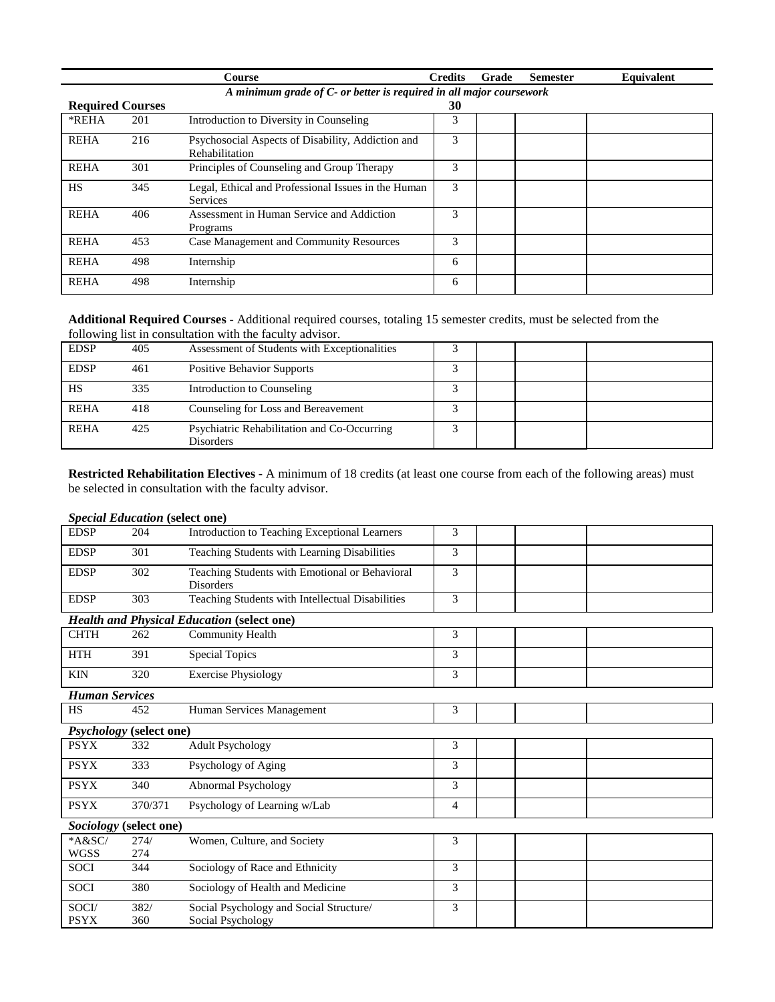|                         |                                                                     | Course                                                                 | <b>Credits</b> | Grade | <b>Semester</b> | Equivalent |  |  |  |
|-------------------------|---------------------------------------------------------------------|------------------------------------------------------------------------|----------------|-------|-----------------|------------|--|--|--|
|                         | A minimum grade of C- or better is required in all major coursework |                                                                        |                |       |                 |            |  |  |  |
| <b>Required Courses</b> |                                                                     |                                                                        | 30             |       |                 |            |  |  |  |
| *REHA                   | 201                                                                 | Introduction to Diversity in Counseling                                | 3              |       |                 |            |  |  |  |
| <b>REHA</b>             | 216                                                                 | Psychosocial Aspects of Disability, Addiction and<br>Rehabilitation    | 3              |       |                 |            |  |  |  |
| <b>REHA</b>             | 301                                                                 | Principles of Counseling and Group Therapy                             | 3              |       |                 |            |  |  |  |
| <b>HS</b>               | 345                                                                 | Legal, Ethical and Professional Issues in the Human<br><b>Services</b> | 3              |       |                 |            |  |  |  |
| <b>REHA</b>             | 406                                                                 | Assessment in Human Service and Addiction<br>Programs                  | 3              |       |                 |            |  |  |  |
| <b>REHA</b>             | 453                                                                 | Case Management and Community Resources                                | 3              |       |                 |            |  |  |  |
| <b>REHA</b>             | 498                                                                 | Internship                                                             | 6              |       |                 |            |  |  |  |
| <b>REHA</b>             | 498                                                                 | Internship                                                             | 6              |       |                 |            |  |  |  |

**Additional Required Courses** - Additional required courses, totaling 15 semester credits, must be selected from the following list in consultation with the faculty advisor.

| <b>EDSP</b> | 405 | Assessment of Students with Exceptionalities             |  |  |
|-------------|-----|----------------------------------------------------------|--|--|
| <b>EDSP</b> | 461 | <b>Positive Behavior Supports</b>                        |  |  |
| HS          | 335 | Introduction to Counseling                               |  |  |
| <b>REHA</b> | 418 | Counseling for Loss and Bereavement                      |  |  |
| <b>REHA</b> | 425 | Psychiatric Rehabilitation and Co-Occurring<br>Disorders |  |  |

**Restricted Rehabilitation Electives** - A minimum of 18 credits (at least one course from each of the following areas) must be selected in consultation with the faculty advisor.

|                       | <b>Special Education (select one)</b> |                                                                    |   |  |
|-----------------------|---------------------------------------|--------------------------------------------------------------------|---|--|
| <b>EDSP</b>           | 204                                   | Introduction to Teaching Exceptional Learners                      | 3 |  |
| <b>EDSP</b>           | 301                                   | Teaching Students with Learning Disabilities                       | 3 |  |
| <b>EDSP</b>           | 302                                   | Teaching Students with Emotional or Behavioral<br><b>Disorders</b> | 3 |  |
| <b>EDSP</b>           | 303                                   | Teaching Students with Intellectual Disabilities                   | 3 |  |
|                       |                                       | <b>Health and Physical Education (select one)</b>                  |   |  |
| <b>CHTH</b>           | 262                                   | <b>Community Health</b>                                            | 3 |  |
| <b>HTH</b>            | 391                                   | <b>Special Topics</b>                                              | 3 |  |
| <b>KIN</b>            | 320                                   | <b>Exercise Physiology</b>                                         | 3 |  |
| <b>Human Services</b> |                                       |                                                                    |   |  |
| <b>HS</b>             | 452                                   | Human Services Management                                          | 3 |  |
|                       | <b>Psychology</b> (select one)        |                                                                    |   |  |
| <b>PSYX</b>           | 332                                   | <b>Adult Psychology</b>                                            | 3 |  |
| <b>PSYX</b>           | 333                                   | Psychology of Aging                                                | 3 |  |
| <b>PSYX</b>           | 340                                   | Abnormal Psychology                                                | 3 |  |
| <b>PSYX</b>           | 370/371                               | Psychology of Learning w/Lab                                       | 4 |  |
| Sociology             | (select one)                          |                                                                    |   |  |
| *A&SC/                | 274/                                  | Women, Culture, and Society                                        | 3 |  |
| <b>WGSS</b>           | 274                                   |                                                                    |   |  |
| <b>SOCI</b>           | 344                                   | Sociology of Race and Ethnicity                                    | 3 |  |
| <b>SOCI</b>           | 380                                   | Sociology of Health and Medicine                                   | 3 |  |
| SOCI/<br><b>PSYX</b>  | 382/<br>360                           | Social Psychology and Social Structure/<br>Social Psychology       | 3 |  |